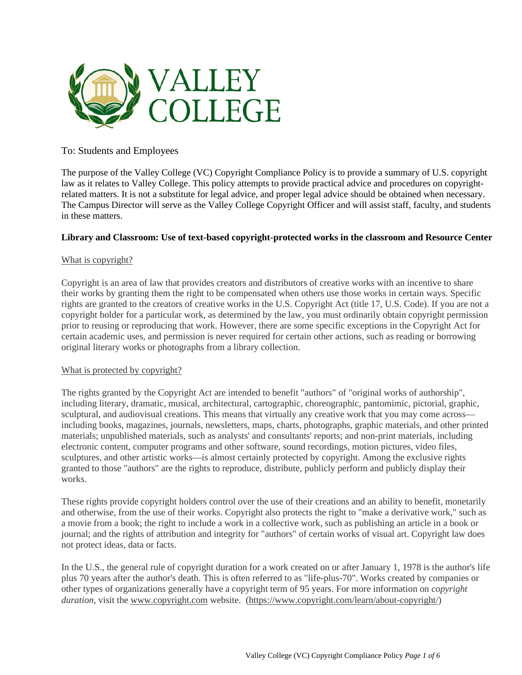

# To: Students and Employees

The purpose of the Valley College (VC) Copyright Compliance Policy is to provide a summary of U.S. copyright law as it relates to Valley College. This policy attempts to provide practical advice and procedures on copyrightrelated matters. It is not a substitute for legal advice, and proper legal advice should be obtained when necessary. The Campus Director will serve as the Valley College Copyright Officer and will assist staff, faculty, and students in these matters.

### **Library and Classroom: Use of text-based copyright-protected works in the classroom and Resource Center**

### What is copyright?

Copyright is an area of law that provides creators and distributors of creative works with an incentive to share their works by granting them the right to be compensated when others use those works in certain ways. Specific rights are granted to the creators of creative works in the U.S. Copyright Act (title 17, U.S. Code). If you are not a copyright holder for a particular work, as determined by the law, you must ordinarily obtain copyright permission prior to reusing or reproducing that work. However, there are some specific exceptions in the Copyright Act for certain academic uses, and permission is never required for certain other actions, such as reading or borrowing original literary works or photographs from a library collection.

#### What is protected by copyright?

The rights granted by the Copyright Act are intended to benefit "authors" of "original works of authorship", including literary, dramatic, musical, architectural, cartographic, choreographic, pantomimic, pictorial, graphic, sculptural, and audiovisual creations. This means that virtually any creative work that you may come across including books, magazines, journals, newsletters, maps, charts, photographs, graphic materials, and other printed materials; unpublished materials, such as analysts' and consultants' reports; and non-print materials, including electronic content, computer programs and other software, sound recordings, motion pictures, video files, sculptures, and other artistic works—is almost certainly protected by copyright. Among the exclusive rights granted to those "authors" are the rights to reproduce, distribute, publicly perform and publicly display their works.

These rights provide copyright holders control over the use of their creations and an ability to benefit, monetarily and otherwise, from the use of their works. Copyright also protects the right to "make a derivative work," such as a movie from a book; the right to include a work in a collective work, such as publishing an article in a book or journal; and the rights of attribution and integrity for "authors" of certain works of visual art. Copyright law does not protect ideas, data or facts.

In the U.S., the general rule of copyright duration for a work created on or after January 1, 1978 is the author's life plus 70 years after the author's death. This is often referred to as "life-plus-70". Works created by companies or other types of organizations generally have a copyright term of 95 years. For more information on *copyright duration*, visit the [www.copyright.com](http://www.copyright.com/) website. [\(https://www.copyright.com/learn/about-copyright/\)](https://www.copyright.com/learn/about-copyright/)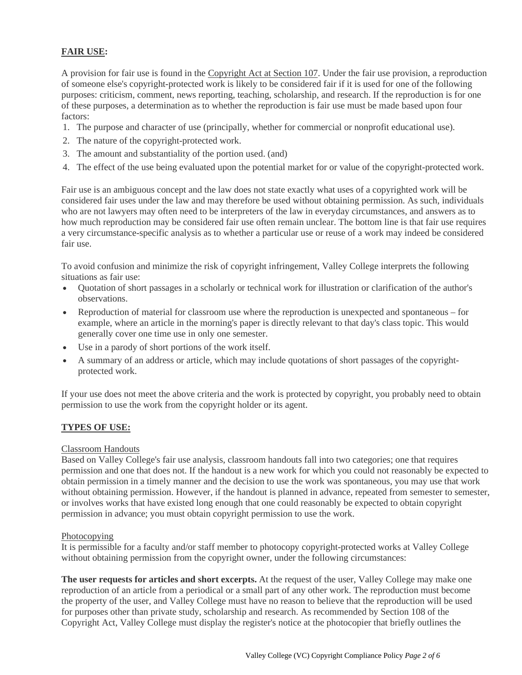# **FAIR USE:**

A provision for fair use is found in the [Copyright Act at Section 107.](http://www.copyright.gov/title17) Under the fair use provision, a reproduction of someone else's copyright-protected work is likely to be considered fair if it is used for one of the following purposes: criticism, comment, news reporting, teaching, scholarship, and research. If the reproduction is for one of these purposes, a determination as to whether the reproduction is fair use must be made based upon four factors:

- 1. The purpose and character of use (principally, whether for commercial or nonprofit educational use).
- 2. The nature of the copyright-protected work.
- 3. The amount and substantiality of the portion used. (and)
- 4. The effect of the use being evaluated upon the potential market for or value of the copyright-protected work.

Fair use is an ambiguous concept and the law does not state exactly what uses of a copyrighted work will be considered fair uses under the law and may therefore be used without obtaining permission. As such, individuals who are not lawyers may often need to be interpreters of the law in everyday circumstances, and answers as to how much reproduction may be considered fair use often remain unclear. The bottom line is that fair use requires a very circumstance-specific analysis as to whether a particular use or reuse of a work may indeed be considered fair use.

To avoid confusion and minimize the risk of copyright infringement, Valley College interprets the following situations as fair use:

- Quotation of short passages in a scholarly or technical work for illustration or clarification of the author's observations.
- Reproduction of material for classroom use where the reproduction is unexpected and spontaneous for example, where an article in the morning's paper is directly relevant to that day's class topic. This would generally cover one time use in only one semester.
- Use in a parody of short portions of the work itself.
- A summary of an address or article, which may include quotations of short passages of the copyrightprotected work.

If your use does not meet the above criteria and the work is protected by copyright, you probably need to obtain permission to use the work from the copyright holder or its agent.

# **TYPES OF USE:**

#### Classroom Handouts

Based on Valley College's fair use analysis, classroom handouts fall into two categories; one that requires permission and one that does not. If the handout is a new work for which you could not reasonably be expected to obtain permission in a timely manner and the decision to use the work was spontaneous, you may use that work without obtaining permission. However, if the handout is planned in advance, repeated from semester to semester, or involves works that have existed long enough that one could reasonably be expected to obtain copyright permission in advance; you must obtain copyright permission to use the work.

#### Photocopying

It is permissible for a faculty and/or staff member to photocopy copyright-protected works at Valley College without obtaining permission from the copyright owner, under the following circumstances:

**The user requests for articles and short excerpts.** At the request of the user, Valley College may make one reproduction of an article from a periodical or a small part of any other work. The reproduction must become the property of the user, and Valley College must have no reason to believe that the reproduction will be used for purposes other than private study, scholarship and research. As recommended by Section 108 of the Copyright Act, Valley College must display the register's notice at the photocopier that briefly outlines the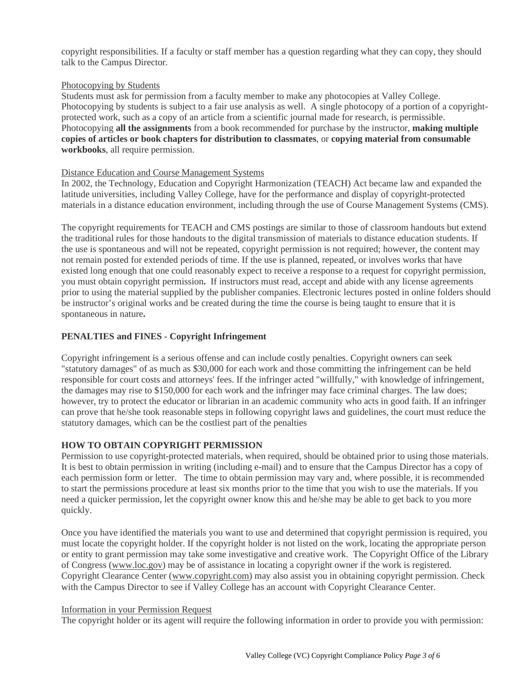copyright responsibilities. If a faculty or staff member has a question regarding what they can copy, they should talk to the Campus Director.

#### Photocopying by Students

Students must ask for permission from a faculty member to make any photocopies at Valley College. Photocopying by students is subject to a fair use analysis as well. A single photocopy of a portion of a copyrightprotected work, such as a copy of an article from a scientific journal made for research, is permissible. Photocopying **all the assignments** from a book recommended for purchase by the instructor, **making multiple copies of articles or book chapters for distribution to classmates**, or **copying material from consumable workbooks**, all require permission.

#### Distance Education and Course Management Systems

In 2002, the Technology, Education and Copyright Harmonization (TEACH) Act became law and expanded the latitude universities, including Valley College, have for the performance and display of copyright-protected materials in a distance education environment, including through the use of Course Management Systems (CMS).

The copyright requirements for TEACH and CMS postings are similar to those of classroom handouts but extend the traditional rules for those handouts to the digital transmission of materials to distance education students. If the use is spontaneous and will not be repeated, copyright permission is not required; however, the content may not remain posted for extended periods of time. If the use is planned, repeated, or involves works that have existed long enough that one could reasonably expect to receive a response to a request for copyright permission, you must obtain copyright permission**.** If instructors must read, accept and abide with any license agreements prior to using the material supplied by the publisher companies. Electronic lectures posted in online folders should be instructor's original works and be created during the time the course is being taught to ensure that it is spontaneous in nature**.**

#### **PENALTIES and FINES - Copyright Infringement**

Copyright infringement is a serious offense and can include costly penalties. Copyright owners can seek "statutory damages" of as much as \$30,000 for each work and those committing the infringement can be held responsible for court costs and attorneys' fees. If the infringer acted "willfully," with knowledge of infringement, the damages may rise to \$150,000 for each work and the infringer may face criminal charges. The law does; however, try to protect the educator or librarian in an academic community who acts in good faith. If an infringer can prove that he/she took reasonable steps in following copyright laws and guidelines, the court must reduce the statutory damages, which can be the costliest part of the penalties

#### **HOW TO OBTAIN COPYRIGHT PERMISSION**

Permission to use copyright-protected materials, when required, should be obtained prior to using those materials. It is best to obtain permission in writing (including e-mail) and to ensure that the Campus Director has a copy of each permission form or letter. The time to obtain permission may vary and, where possible, it is recommended to start the permissions procedure at least six months prior to the time that you wish to use the materials. If you need a quicker permission, let the copyright owner know this and he/she may be able to get back to you more quickly.

Once you have identified the materials you want to use and determined that copyright permission is required, you must locate the copyright holder. If the copyright holder is not listed on the work, locating the appropriate person or entity to grant permission may take some investigative and creative work. The Copyright Office of the Library of Congress [\(www.loc.gov\)](http://www.loc.gov/) may be of assistance in locating a copyright owner if the work is registered. Copyright Clearance Center [\(www.copyright.com\)](http://www.copyright.com/) may also assist you in obtaining copyright permission. Check with the Campus Director to see if Valley College has an account with Copyright Clearance Center.

### Information in your Permission Request

The copyright holder or its agent will require the following information in order to provide you with permission: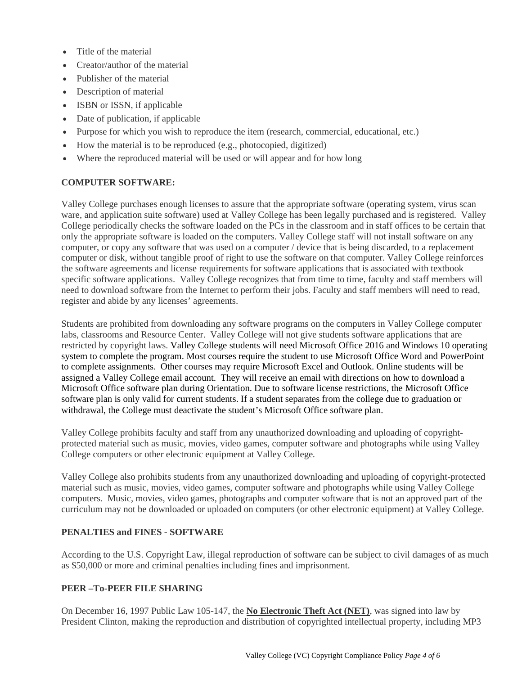- Title of the material
- Creator/author of the material
- Publisher of the material
- Description of material
- ISBN or ISSN, if applicable
- Date of publication, if applicable
- Purpose for which you wish to reproduce the item (research, commercial, educational, etc.)
- How the material is to be reproduced (e.g., photocopied, digitized)
- Where the reproduced material will be used or will appear and for how long

# **COMPUTER SOFTWARE:**

Valley College purchases enough licenses to assure that the appropriate software (operating system, virus scan ware, and application suite software) used at Valley College has been legally purchased and is registered. Valley College periodically checks the software loaded on the PCs in the classroom and in staff offices to be certain that only the appropriate software is loaded on the computers. Valley College staff will not install software on any computer, or copy any software that was used on a computer / device that is being discarded, to a replacement computer or disk, without tangible proof of right to use the software on that computer. Valley College reinforces the software agreements and license requirements for software applications that is associated with textbook specific software applications. Valley College recognizes that from time to time, faculty and staff members will need to download software from the Internet to perform their jobs. Faculty and staff members will need to read, register and abide by any licenses' agreements.

Students are prohibited from downloading any software programs on the computers in Valley College computer labs, classrooms and Resource Center. Valley College will not give students software applications that are restricted by copyright laws. Valley College students will need Microsoft Office 2016 and Windows 10 operating system to complete the program. Most courses require the student to use Microsoft Office Word and PowerPoint to complete assignments. Other courses may require Microsoft Excel and Outlook. Online students will be assigned a Valley College email account. They will receive an email with directions on how to download a Microsoft Office software plan during Orientation. Due to software license restrictions, the Microsoft Office software plan is only valid for current students. If a student separates from the college due to graduation or withdrawal, the College must deactivate the student's Microsoft Office software plan.

Valley College prohibits faculty and staff from any unauthorized downloading and uploading of copyrightprotected material such as music, movies, video games, computer software and photographs while using Valley College computers or other electronic equipment at Valley College*.* 

Valley College also prohibits students from any unauthorized downloading and uploading of copyright-protected material such as music, movies, video games, computer software and photographs while using Valley College computers. Music, movies, video games, photographs and computer software that is not an approved part of the curriculum may not be downloaded or uploaded on computers (or other electronic equipment) at Valley College.

# **PENALTIES and FINES - SOFTWARE**

According to the U.S. Copyright Law, illegal reproduction of software can be subject to civil damages of as much as \$50,000 or more and criminal penalties including fines and imprisonment.

# **PEER –To-PEER FILE SHARING**

On December 16, 1997 Public Law 105-147, the **No [Electronic Theft Act \(NET\)](http://www.techlawjournal.com/courts/eldritch/pl105-147.htm)**, was signed into law by President Clinton, making the reproduction and distribution of copyrighted intellectual property, including MP3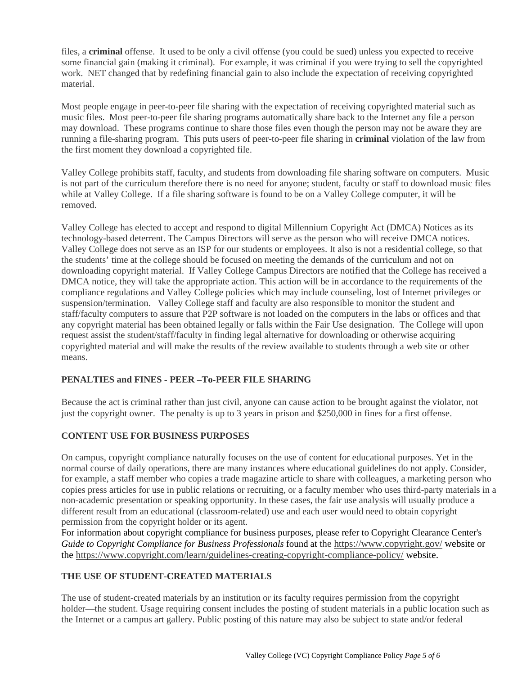files, a **criminal** offense. It used to be only a civil offense (you could be sued) unless you expected to receive some financial gain (making it criminal). For example, it was criminal if you were trying to sell the copyrighted work. NET changed that by redefining financial gain to also include the expectation of receiving copyrighted material.

Most people engage in peer-to-peer file sharing with the expectation of receiving copyrighted material such as music files. Most peer-to-peer file sharing programs automatically share back to the Internet any file a person may download. These programs continue to share those files even though the person may not be aware they are running a file-sharing program. This puts users of peer-to-peer file sharing in **criminal** violation of the law from the first moment they download a copyrighted file.

Valley College prohibits staff, faculty, and students from downloading file sharing software on computers. Music is not part of the curriculum therefore there is no need for anyone; student, faculty or staff to download music files while at Valley College. If a file sharing software is found to be on a Valley College computer, it will be removed.

Valley College has elected to accept and respond to digital Millennium Copyright Act (DMCA) Notices as its technology-based deterrent. The Campus Directors will serve as the person who will receive DMCA notices. Valley College does not serve as an ISP for our students or employees. It also is not a residential college, so that the students' time at the college should be focused on meeting the demands of the curriculum and not on downloading copyright material. If Valley College Campus Directors are notified that the College has received a DMCA notice, they will take the appropriate action. This action will be in accordance to the requirements of the compliance regulations and Valley College policies which may include counseling, lost of Internet privileges or suspension/termination. Valley College staff and faculty are also responsible to monitor the student and staff/faculty computers to assure that P2P software is not loaded on the computers in the labs or offices and that any copyright material has been obtained legally or falls within the Fair Use designation. The College will upon request assist the student/staff/faculty in finding legal alternative for downloading or otherwise acquiring copyrighted material and will make the results of the review available to students through a web site or other means.

# **PENALTIES and FINES - PEER –To-PEER FILE SHARING**

Because the act is criminal rather than just civil, anyone can cause action to be brought against the violator, not just the copyright owner. The penalty is up to 3 years in prison and \$250,000 in fines for a first offense.

# **CONTENT USE FOR BUSINESS PURPOSES**

On campus, copyright compliance naturally focuses on the use of content for educational purposes. Yet in the normal course of daily operations, there are many instances where educational guidelines do not apply. Consider, for example, a staff member who copies a trade magazine article to share with colleagues, a marketing person who copies press articles for use in public relations or recruiting, or a faculty member who uses third-party materials in a non-academic presentation or speaking opportunity. In these cases, the fair use analysis will usually produce a different result from an educational (classroom-related) use and each user would need to obtain copyright permission from the copyright holder or its agent.

For information about copyright compliance for business purposes, please refer to Copyright Clearance Center's *Guide to Copyright Compliance for Business Professionals* found at the <https://www.copyright.gov/> website or the<https://www.copyright.com/learn/guidelines-creating-copyright-compliance-policy/> website.

# **THE USE OF STUDENT-CREATED MATERIALS**

The use of student-created materials by an institution or its faculty requires permission from the copyright holder—the student. Usage requiring consent includes the posting of student materials in a public location such as the Internet or a campus art gallery. Public posting of this nature may also be subject to state and/or federal